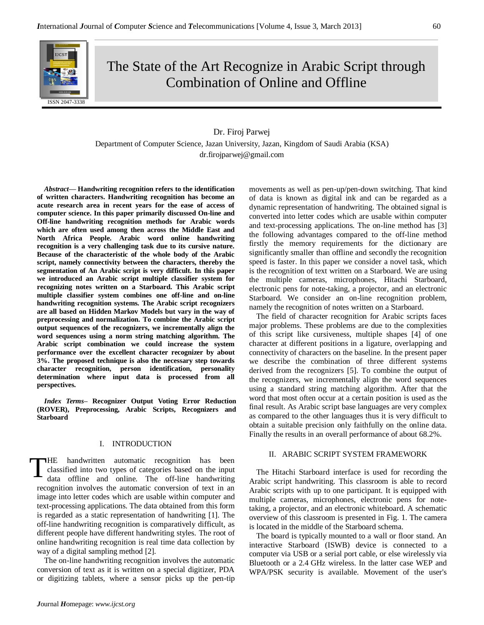

# The State of the Art Recognize in Arabic Script through Combination of Online and Offline

## Dr. Firoj Parwej

Department of Computer Science, Jazan University, Jazan, Kingdom of Saudi Arabia (KSA) dr.firojparwej@gmail.com

*Abstract—* **Handwriting recognition refers to the identification of written characters. Handwriting recognition has become an acute research area in recent years for the ease of access of computer science. In this paper primarily discussed On-line and Off-line handwriting recognition methods for Arabic words which are often used among then across the Middle East and North Africa People. Arabic word online handwriting recognition is a very challenging task due to its cursive nature. Because of the characteristic of the whole body of the Arabic script, namely connectivity between the characters, thereby the segmentation of An Arabic script is very difficult. In this paper we introduced an Arabic script multiple classifier system for recognizing notes written on a Starboard. This Arabic script multiple classifier system combines one off-line and on-line handwriting recognition systems. The Arabic script recognizers are all based on Hidden Markov Models but vary in the way of preprocessing and normalization. To combine the Arabic script output sequences of the recognizers, we incrementally align the word sequences using a norm string matching algorithm. The Arabic script combination we could increase the system performance over the excellent character recognizer by about 3%. The proposed technique is also the necessary step towards character recognition, person identification, personality determination where input data is processed from all perspectives.**

*Index Terms–* **Recognizer Output Voting Error Reduction (ROVER), Preprocessing, Arabic Scripts, Recognizers and Starboard**

## I. INTRODUCTION

HE handwritten automatic recognition has been classified into two types of categories based on the input data offline and online. The off-line handwriting recognition involves the automatic conversion of text in an image into letter codes which are usable within computer and text-processing applications. The data obtained from this form is regarded as a static representation of handwriting [1]. The off-line handwriting recognition is comparatively difficult, as different people have different handwriting styles. The root of online handwriting recognition is real time data collection by way of a digital sampling method [2]. T

The on-line handwriting recognition involves the automatic conversion of text as it is written on a special digitizer, PDA or digitizing tablets, where a sensor picks up the pen-tip movements as well as pen-up/pen-down switching. That kind of data is known as digital ink and can be regarded as a dynamic representation of handwriting. The obtained signal is converted into letter codes which are usable within computer and text-processing applications. The on-line method has [3] the following advantages compared to the off-line method firstly the memory requirements for the dictionary are significantly smaller than offline and secondly the recognition speed is faster. In this paper we consider a novel task, which is the recognition of text written on a Starboard. We are using the multiple cameras, microphones, Hitachi Starboard, electronic pens for note-taking, a projector, and an electronic Starboard. We consider an on-line recognition problem, namely the recognition of notes written on a Starboard.

The field of character recognition for Arabic scripts faces major problems. These problems are due to the complexities of this script like cursiveness, multiple shapes [4] of one character at different positions in a ligature, overlapping and connectivity of characters on the baseline. In the present paper we describe the combination of three different systems derived from the recognizers [5]. To combine the output of the recognizers, we incrementally align the word sequences using a standard string matching algorithm. After that the word that most often occur at a certain position is used as the final result. As Arabic script base languages are very complex as compared to the other languages thus it is very difficult to obtain a suitable precision only faithfully on the online data. Finally the results in an overall performance of about 68.2%.

#### II. ARABIC SCRIPT SYSTEM FRAMEWORK

The Hitachi Starboard interface is used for recording the Arabic script handwriting. This classroom is able to record Arabic scripts with up to one participant. It is equipped with multiple cameras, microphones, electronic pens for notetaking, a projector, and an electronic whiteboard. A schematic overview of this classroom is presented in Fig. 1. The camera is located in the middle of the Starboard schema.

The board is typically mounted to a wall or floor stand. An interactive Starboard (ISWB) device is connected to a computer via USB or a serial port cable, or else wirelessly via Bluetooth or a 2.4 GHz wireless. In the latter case WEP and WPA/PSK security is available. Movement of the user's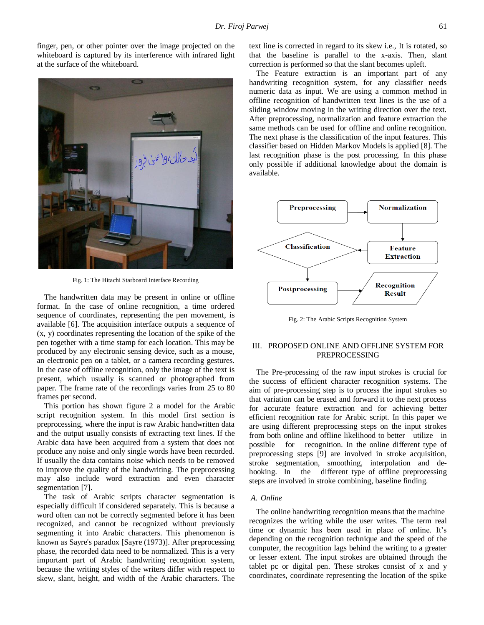finger, pen, or other pointer over the image projected on the whiteboard is captured by its interference with infrared light at the surface of the whiteboard.



Fig. 1: The Hitachi Starboard Interface Recording

The handwritten data may be present in online or offline format. In the case of online recognition, a time ordered sequence of coordinates, representing the pen movement, is available [6]. The acquisition interface outputs a sequence of (x, y) coordinates representing the location of the spike of the pen together with a time stamp for each location. This may be produced by any electronic sensing device, such as a mouse, an electronic pen on a tablet, or a camera recording gestures. In the case of offline recognition, only the image of the text is present, which usually is scanned or photographed from paper. The frame rate of the recordings varies from 25 to 80 frames per second.

This portion has shown figure 2 a model for the Arabic script recognition system. In this model first section is preprocessing, where the input is raw Arabic handwritten data and the output usually consists of extracting text lines. If the Arabic data have been acquired from a system that does not produce any noise and only single words have been recorded. If usually the data contains noise which needs to be removed to improve the quality of the handwriting. The preprocessing may also include word extraction and even character segmentation [7].

The task of Arabic scripts character segmentation is especially difficult if considered separately. This is because a word often can not be correctly segmented before it has been recognized, and cannot be recognized without previously segmenting it into Arabic characters. This phenomenon is known as Sayre's paradox [Sayre (1973)]. After preprocessing phase, the recorded data need to be normalized. This is a very important part of Arabic handwriting recognition system, because the writing styles of the writers differ with respect to skew, slant, height, and width of the Arabic characters. The

text line is corrected in regard to its skew i.e., It is rotated, so that the baseline is parallel to the x-axis. Then, slant correction is performed so that the slant becomes upleft.

The Feature extraction is an important part of any handwriting recognition system, for any classifier needs numeric data as input. We are using a common method in offline recognition of handwritten text lines is the use of a sliding window moving in the writing direction over the text. After preprocessing, normalization and feature extraction the same methods can be used for offline and online recognition. The next phase is the classification of the input features. This classifier based on Hidden Markov Models is applied [8]. The last recognition phase is the post processing. In this phase only possible if additional knowledge about the domain is available.



Fig. 2: The Arabic Scripts Recognition System

## III. PROPOSED ONLINE AND OFFLINE SYSTEM FOR PREPROCESSING

The Pre-processing of the raw input strokes is crucial for the success of efficient character recognition systems. The aim of pre-processing step is to process the input strokes so that variation can be erased and forward it to the next process for accurate feature extraction and for achieving better efficient recognition rate for Arabic script. In this paper we are using different preprocessing steps on the input strokes from both online and offline likelihood to better utilize in possible for recognition. In the online different type of preprocessing steps [9] are involved in stroke acquisition, stroke segmentation, smoothing, interpolation and dehooking. In the different type of offline preprocessing steps are involved in stroke combining, baseline finding.

## *A. Online*

The online handwriting recognition means that the machine recognizes the writing while the user writes. The term real time or dynamic has been used in place of online. It's depending on the recognition technique and the speed of the computer, the recognition lags behind the writing to a greater or lesser extent. The input strokes are obtained through the tablet pc or digital pen. These strokes consist of x and y coordinates, coordinate representing the location of the spike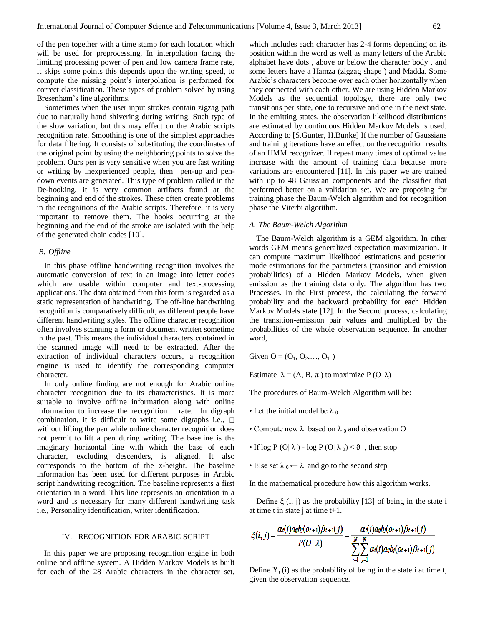of the pen together with a time stamp for each location which will be used for preprocessing. In interpolation facing the limiting processing power of pen and low camera frame rate, it skips some points this depends upon the writing speed, to compute the missing point's interpolation is performed for correct classification. These types of problem solved by using Bresenham's line algorithms.

Sometimes when the user input strokes contain zigzag path due to naturally hand shivering during writing. Such type of the slow variation, but this may effect on the Arabic scripts recognition rate. Smoothing is one of the simplest approaches for data filtering. It consists of substituting the coordinates of the original point by using the neighboring points to solve the problem. Ours pen is very sensitive when you are fast writing or writing by inexperienced people, then pen-up and pendown events are generated. This type of problem called in the De-hooking, it is very common artifacts found at the beginning and end of the strokes. These often create problems in the recognitions of the Arabic scripts. Therefore, it is very important to remove them. The hooks occurring at the beginning and the end of the stroke are isolated with the help of the generated chain codes [10].

## *B. Offline*

In this phase offline handwriting recognition involves the automatic conversion of text in an image into letter codes which are usable within computer and text-processing applications. The data obtained from this form is regarded as a static representation of handwriting. The off-line handwriting recognition is comparatively difficult, as different people have different handwriting styles. The offline character recognition often involves scanning a form or document written sometime in the past. This means the individual characters contained in the scanned image will need to be extracted. After the extraction of individual characters occurs, a recognition engine is used to identify the corresponding computer character.

In only online finding are not enough for Arabic online character recognition due to its characteristics. It is more suitable to involve offline information along with online information to increase the recognition rate. In digraph combination, it is difficult to write some digraphs i.e.,  $\Box$ without lifting the pen while online character recognition does not permit to lift a pen during writing. The baseline is the imaginary horizontal line with which the base of each character, excluding descenders, is aligned. It also corresponds to the bottom of the x-height. The baseline information has been used for different purposes in Arabic script handwriting recognition. The baseline represents a first orientation in a word. This line represents an orientation in a word and is necessary for many different handwriting task i.e., Personality identification, writer identification.

### IV. RECOGNITION FOR ARABIC SCRIPT

In this paper we are proposing recognition engine in both online and offline system. A Hidden Markov Models is built for each of the 28 Arabic characters in the character set,

which includes each character has 2-4 forms depending on its position within the word as well as many letters of the Arabic alphabet have dots , above or below the character body , and some letters have a Hamza (zigzag shape ) and Madda. Some Arabic's characters become over each other horizontally when they connected with each other. We are using Hidden Markov Models as the sequential topology, there are only two transitions per state, one to recursive and one in the next state. In the emitting states, the observation likelihood distributions are estimated by continuous Hidden Markov Models is used. According to [S.Gunter, H.Bunke] If the number of Gaussians and training iterations have an effect on the recognition results of an HMM recognizer. If repeat many times of optimal value increase with the amount of training data because more variations are encountered [11]. In this paper we are trained with up to 48 Gaussian components and the classifier that performed better on a validation set. We are proposing for training phase the Baum-Welch algorithm and for recognition phase the Viterbi algorithm.

### *A. The Baum-Welch Algorithm*

The Baum-Welch algorithm is a GEM algorithm. In other words GEM means generalized expectation maximization. It can compute maximum likelihood estimations and posterior mode estimations for the parameters (transition and emission probabilities) of a Hidden Markov Models, when given emission as the training data only. The algorithm has two Processes. In the First process, the calculating the forward probability and the backward probability for each Hidden Markov Models state [12]. In the Second process, calculating the transition-emission pair values and multiplied by the probabilities of the whole observation sequence. In another word,

Given  $O = (O_1, O_2, ..., O_T)$ 

Estimate  $\lambda = (A, B, \pi)$  to maximize P (O|  $\lambda$ )

The procedures of Baum-Welch Algorithm will be:

- Let the initial model be  $\lambda_0$
- Compute new  $\lambda$  based on  $\lambda_0$  and observation O
- If  $\log P$  (O|  $\lambda$  )  $\log P$  (O|  $\lambda_0$ ) <  $\vartheta$ , then stop
- Else set  $\lambda_0 \leftarrow \lambda$  and go to the second step

In the mathematical procedure how this algorithm works.

Define  $\xi$  (i, j) as the probability [13] of being in the state i at time t in state j at time  $t+1$ .

$$
\xi(i,j) = \frac{\alpha_1(i)a_{ij}b_j(o_{t+1})\beta_{t+1}(j)}{P(O | \lambda)} = \frac{\alpha_1(i)a_{ij}b_j(o_{t+1})\beta_{t+1}(j)}{\sum_{i=1}^N \sum_{j=1}^N \alpha_i(i)a_{ij}b_j(o_{t+1})\beta_{t+1}(j)}
$$

Define  $Y_t(i)$  as the probability of being in the state i at time t, given the observation sequence.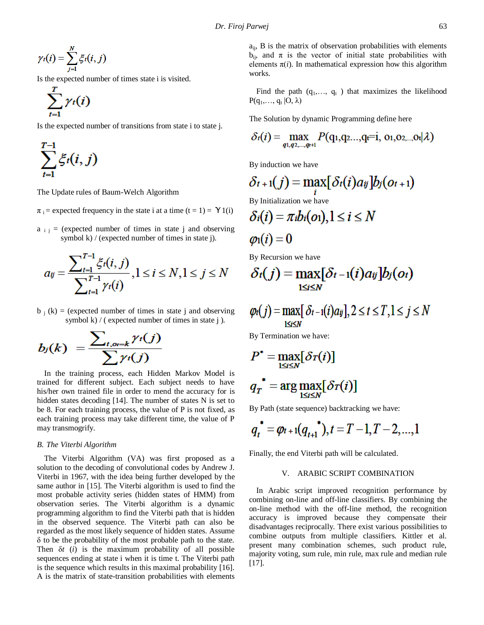$$
\gamma_t(i) = \sum_{j=1}^N \xi_t(i,j)
$$

Is the expected number of times state i is visited.

$$
\sum_{t=1}^T \gamma_t(i)
$$

Is the expected number of transitions from state i to state j.

$$
\sum_{t=1}^{T-1} \xi_t(i,j)
$$

The Update rules of Baum-Welch Algorithm

 $\pi_i$  = expected frequency in the state i at a time (t = 1) =  $\Upsilon$ 1(i)

 $a_{i,j}$  = (expected number of times in state j and observing symbol k) / (expected number of times in state j).

$$
a_{ij} = \frac{\sum_{t=1}^{T-1} \xi_t(i, j)}{\sum_{t=1}^{T-1} \gamma_t(i)}, 1 \le i \le N, 1 \le j \le N
$$

 $b_i$  (k) = (expected number of times in state j and observing symbol k) / ( expected number of times in state  $\mathbf i$  ).

$$
b_j(k) = \frac{\sum_{t, o_t = k} \gamma_t(j)}{\sum \gamma_t(j)}
$$

In the training process, each Hidden Markov Model is trained for different subject. Each subject needs to have his/her own trained file in order to mend the accuracy for is hidden states decoding [14]. The number of states N is set to be 8. For each training process, the value of P is not fixed, as each training process may take different time, the value of P may transmogrify.

#### *B. The Viterbi Algorithm*

The Viterbi Algorithm (VA) was first proposed as a solution to the decoding of convolutional codes by Andrew J. Viterbi in 1967, with the idea being further developed by the same author in [15]. The Viterbi algorithm is used to find the most probable activity series (hidden states of HMM) from observation series. The Viterbi algorithm is a dynamic programming algorithm to find the Viterbi path that is hidden in the observed sequence. The Viterbi path can also be regarded as the most likely sequence of hidden states. Assume δ to be the probability of the most probable path to the state. Then δ*t* (*i*) is the maximum probability of all possible sequences ending at state i when it is time t. The Viterbi path is the sequence which results in this maximal probability [16]. A is the matrix of state-transition probabilities with elements  $a_{ij}$ , B is the matrix of observation probabilities with elements  $b_{ij}$ , and  $\pi$  is the vector of initial state probabilities with elements  $\pi(i)$ . In mathematical expression how this algorithm works.

Find the path  $(q_1, \ldots, q_t)$  that maximizes the likelihood  $P(q_1,..., q_t | O, \lambda)$ 

The Solution by dynamic Programming define here

$$
\delta_t(i) = \max_{q_1, q_2, \ldots, q_t+1} P(q_1, q_2, \ldots, q_t=i, 0, 0, 0, 0, \ldots, 0, |\lambda)
$$

By induction we have

$$
\delta_{t+1}(j) = \max_{i} [\delta_{t}(i)a_{ij}]b_{j}(o_{t+1})
$$
  
By Initialization we have  

$$
\delta_{i}(i) = \pi_{i}b_{i}(o_{i}), 1 \leq i \leq N
$$
  

$$
\varphi_{i}(i) = 0
$$

By Recursion we have

$$
\delta_t(j) = \max_{1 \leq i \leq N} [\delta_{t-1}(i)a_{ij}]b_j(o_i)
$$

$$
\varphi_t(j) = \max_{1 \leq i \leq N} [\delta_{t-1}(i)a_{ij}], 2 \leq t \leq T, 1 \leq j \leq N
$$

By Termination we have:

$$
P^* = \max_{1 \le i \le N} [\delta_T(i)]
$$
  

$$
q_T^* = \arg \max_{1 \le i \le N} [\delta_T(i)]
$$

By Path (state sequence) backtracking we have:

$$
q_t^* = \varphi_{t+1}(q_{t+1}^*), t = T-1, T-2, ..., 1
$$

Finally, the end Viterbi path will be calculated.

## V. ARABIC SCRIPT COMBINATION

In Arabic script improved recognition performance by combining on-line and off-line classifiers. By combining the on-line method with the off-line method, the recognition accuracy is improved because they compensate their disadvantages reciprocally. There exist various possibilities to combine outputs from multiple classifiers. Kittler et al. present many combination schemes, such product rule, majority voting, sum rule, min rule, max rule and median rule [17].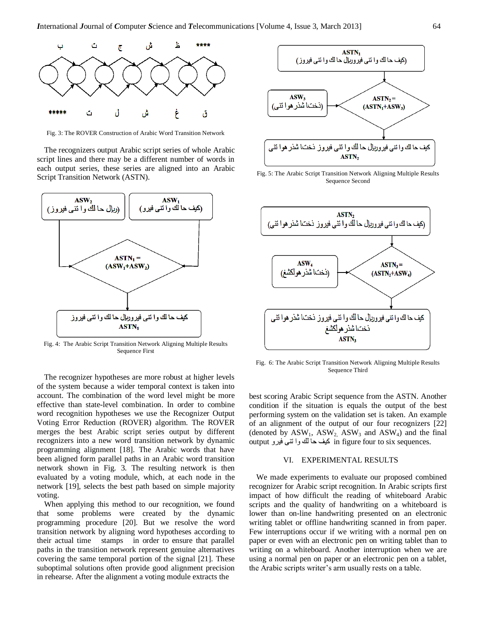

Fig. 3: The ROVER Construction of Arabic Word Transition Network

The recognizers output Arabic script series of whole Arabic script lines and there may be a different number of words in each output series, these series are aligned into an Arabic Script Transition Network (ASTN).



Fig. 4: The Arabic Script Transition Network Aligning Multiple Results Sequence First

The recognizer hypotheses are more robust at higher levels of the system because a wider temporal context is taken into account. The combination of the word level might be more effective than state-level combination. In order to combine word recognition hypotheses we use the Recognizer Output Voting Error Reduction (ROVER) algorithm. The ROVER merges the best Arabic script series output by different recognizers into a new word transition network by dynamic programming alignment [18]. The Arabic words that have been aligned form parallel paths in an Arabic word transition network shown in Fig. 3. The resulting network is then evaluated by a voting module, which, at each node in the network [19], selects the best path based on simple majority voting.

When applying this method to our recognition, we found that some problems were created by the dynamic programming procedure [20]. But we resolve the word transition network by aligning word hypotheses according to their actual time stamps in order to ensure that parallel paths in the transition network represent genuine alternatives covering the same temporal portion of the signal [21]. These suboptimal solutions often provide good alignment precision in rehearse. After the alignment a voting module extracts the



Fig. 5: The Arabic Script Transition Network Aligning Multiple Results Sequence Second



Fig. 6: The Arabic Script Transition Network Aligning Multiple Results Sequence Third

best scoring Arabic Script sequence from the ASTN. Another condition if the situation is equals the output of the best performing system on the validation set is taken. An example of an alignment of the output of our four recognizers [22] (denoted by  $ASW_1$ ,  $ASW_2$ ,  $ASW_3$  and  $ASW_4$ ) and the final output in figure four to six sequences.

## VI. EXPERIMENTAL RESULTS

We made experiments to evaluate our proposed combined recognizer for Arabic script recognition. In Arabic scripts first impact of how difficult the reading of whiteboard Arabic scripts and the quality of handwriting on a whiteboard is lower than on-line handwriting presented on an electronic writing tablet or offline handwriting scanned in from paper. Few interruptions occur if we writing with a normal pen on paper or even with an electronic pen on writing tablet than to writing on a whiteboard. Another interruption when we are using a normal pen on paper or an electronic pen on a tablet, the Arabic scripts writer's arm usually rests on a table.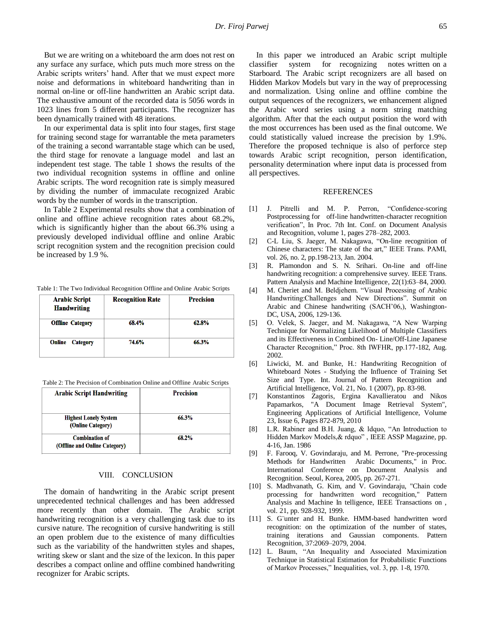But we are writing on a whiteboard the arm does not rest on any surface any surface, which puts much more stress on the Arabic scripts writers' hand. After that we must expect more noise and deformations in whiteboard handwriting than in normal on-line or off-line handwritten an Arabic script data. The exhaustive amount of the recorded data is 5056 words in 1023 lines from 5 different participants. The recognizer has been dynamically trained with 48 iterations.

In our experimental data is split into four stages, first stage for training second stage for warrantable the meta parameters of the training a second warrantable stage which can be used, the third stage for renovate a language model and last an independent test stage. The table 1 shows the results of the two individual recognition systems in offline and online Arabic scripts. The word recognition rate is simply measured by dividing the number of immaculate recognized Arabic words by the number of words in the transcription.

In Table 2 Experimental results show that a combination of online and offline achieve recognition rates about 68.2%, which is significantly higher than the about 66.3% using a previously developed individual offline and online Arabic script recognition system and the recognition precision could be increased by 1.9 %.

Table 1: The Two Individual Recognition Offline and Online Arabic Scripts

| <b>Arabic Script</b><br><b>Handwriting</b> | <b>Recognition Rate</b> | <b>Precision</b> |
|--------------------------------------------|-------------------------|------------------|
| <b>Offline Category</b>                    | 68.4%                   | 62.8%            |
| <b>Online</b><br><b>Category</b>           | 74.6%                   | 66.3%            |

Table 2: The Precision of Combination Online and Offline Arabic Scripts

| <b>Arabic Script Handwriting</b>                       | <b>Precision</b> |
|--------------------------------------------------------|------------------|
|                                                        |                  |
| <b>Highest Lonely System</b><br>(Online Category)      | 66.3%            |
| <b>Combination of</b><br>(Offline and Online Category) | 68.2%            |

#### VIII. CONCLUSION

The domain of handwriting in the Arabic script present unprecedented technical challenges and has been addressed more recently than other domain. The Arabic script handwriting recognition is a very challenging task due to its cursive nature. The recognition of cursive handwriting is still an open problem due to the existence of many difficulties such as the variability of the handwritten styles and shapes, writing skew or slant and the size of the lexicon. In this paper describes a compact online and offline combined handwriting recognizer for Arabic scripts.

In this paper we introduced an Arabic script multiple classifier system for recognizing notes written on a Starboard. The Arabic script recognizers are all based on Hidden Markov Models but vary in the way of preprocessing and normalization. Using online and offline combine the output sequences of the recognizers, we enhancement aligned the Arabic word series using a norm string matching algorithm. After that the each output position the word with the most occurrences has been used as the final outcome. We could statistically valued increase the precision by 1.9%. Therefore the proposed technique is also of perforce step towards Arabic script recognition, person identification, personality determination where input data is processed from all perspectives.

### **REFERENCES**

- [1] J. Pitrelli and M. P. Perron, "Confidence-scoring Postprocessing for off-line handwritten-character recognition verification", In Proc. 7th Int. Conf. on Document Analysis and Recognition, volume 1, pages 278–282, 2003.
- [2] C-L Liu, S. Jaeger, M. Nakagawa, "On-line recognition of Chinese characters: The state of the art," IEEE Trans. PAMI, vol. 26, no. 2, pp.198-213, Jan. 2004.
- [3] R. Plamondon and S. N. Srihari. On-line and off-line handwriting recognition: a comprehensive survey. IEEE Trans. Pattern Analysis and Machine Intelligence, 22(1):63–84, 2000.
- [4] M. Cheriet and M. Beldjehem. "Visual Processing of Arabic Handwriting:Challenges and New Directions". Summit on Arabic and Chinese handwriting (SACH'06,), Washington-DC, USA, 2006, 129-136.
- [5] O. Velek, S. Jaeger, and M. Nakagawa, "A New Warping Technique for Normalizing Likelihood of Multiple Classifiers and its Effectiveness in Combined On- Line/Off-Line Japanese Character Recognition," Proc. 8th IWFHR, pp.177-182, Aug. 2002.
- [6] Liwicki, M. and Bunke, H.: Handwriting Recognition of Whiteboard Notes - Studying the Influence of Training Set Size and Type. Int. Journal of Pattern Recognition and Artificial Intelligence, Vol. 21, No. 1 (2007), pp. 83-98.
- [7] Konstantinos Zagoris, Ergina Kavallieratou and Nikos Papamarkos, "A Document Image Retrieval System", Engineering Applications of Artificial Intelligence, Volume 23, Issue 6, Pages 872-879, 2010
- [8] L.R. Rabiner and B.H. Juang, & ldquo, "An Introduction to Hidden Markov Models,& rdquo" , IEEE ASSP Magazine, pp. 4-16, Jan. 1986
- [9] F. Farooq, V. Govindaraju, and M. Perrone, "Pre-processing Methods for Handwritten Arabic Documents," in Proc. International Conference on Document Analysis and Recognition. Seoul, Korea, 2005, pp. 267-271.
- [10] S. Madhvanath, G. Kim, and V. Govindaraju, "Chain code processing for handwritten word recognition," Pattern Analysis and Machine In telligence, IEEE Transactions on , vol. 21, pp. 928-932, 1999.
- [11] S. G¨unter and H. Bunke. HMM-based handwritten word recognition: on the optimization of the number of states, training iterations and Gaussian components. Pattern Recognition, 37:2069–2079, 2004.
- [12] L. Baum, "An Inequality and Associated Maximization Technique in Statistical Estimation for Probabilistic Functions of Markov Processes," Inequalities, vol. 3, pp. 1-8, 1970.